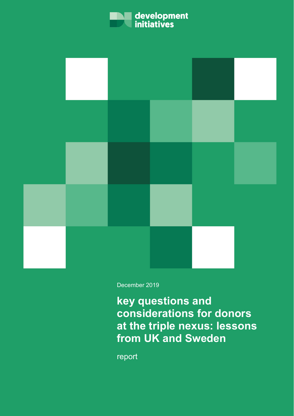



December 2019

**key questions and considerations for donors at the triple nexus: lessons from UK and Sweden**

report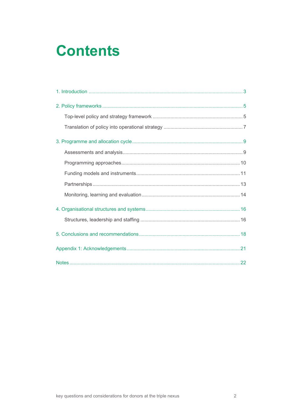# **Contents**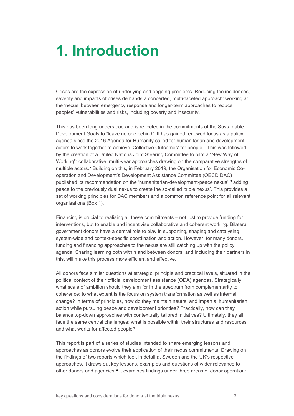# <span id="page-2-0"></span>**1. Introduction**

Crises are the expression of underlying and ongoing problems. Reducing the incidences, severity and impacts of crises demands a concerted, multi-faceted approach: working at the 'nexus' between emergency response and longer-term approaches to reduce peoples' vulnerabilities and risks, including poverty and insecurity.

This has been long understood and is reflected in the commitments of the Sustainable Development Goals to "leave no one behind". It has gained renewed focus as a policy agenda since the 2016 Agenda for Humanity called for humanitarian and development actors to work together to achieve 'Collective Outcomes' for people.[1](#page-21-1) This was followed by the creation of a United Nations Joint Steering Committee to pilot a "New Way of Working": collaborative, multi-year approaches drawing on the comparative strengths of multiple actors.[2](#page-21-2) Building on this, in February 2019, the Organisation for Economic Cooperation and Development's Development Assistance Committee (OECD DAC) published its recommendation on the 'humanitarian-development-peace nexus',<sup>[3](#page-21-3)</sup> adding peace to the previously dual nexus to create the so-called 'triple nexus'. This provides a set of working principles for DAC members and a common reference point for all relevant organisations (Box 1).

Financing is crucial to realising all these commitments – not just to provide funding for interventions, but to enable and incentivise collaborative and coherent working. Bilateral government donors have a central role to play in supporting, shaping and catalysing system-wide and context-specific coordination and action. However, for many donors, funding and financing approaches to the nexus are still catching up with the policy agenda. Sharing learning both within and between donors, and including their partners in this, will make this process more efficient and effective.

All donors face similar questions at strategic, principle and practical levels, situated in the political context of their official development assistance (ODA) agendas. Strategically, what scale of ambition should they aim for in the spectrum from complementarity to coherence; to what extent is the focus on system transformation as well as internal change? In terms of principles, how do they maintain neutral and impartial humanitarian action while pursuing peace and development priorities? Practically, how can they balance top-down approaches with contextually tailored initiatives? Ultimately, they all face the same central challenges: what is possible within their structures and resources and what works for affected people?

This report is part of a series of studies intended to share emerging lessons and approaches as donors evolve their application of their nexus commitments. Drawing on the findings of two reports which look in detail at Sweden and the UK's respective approaches, it draws out key lessons, examples and questions of wider relevance to other donors and agencies.[4](#page-21-4) It examines findings under three areas of donor operation: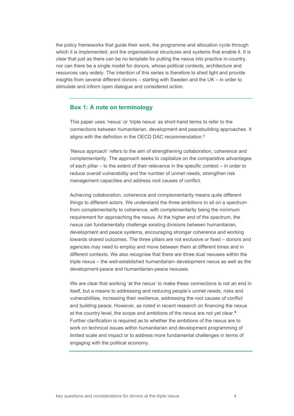the policy frameworks that guide their work; the programme and allocation cycle through which it is implemented; and the organisational structures and systems that enable it. It is clear that just as there can be no template for putting the nexus into practice in-country, nor can there be a single model for donors, whose political contexts, architecture and resources vary widely. The intention of this series is therefore to shed light and provide insights from several different donors – starting with Sweden and the UK – in order to stimulate and inform open dialogue and considered action.

## **Box 1: A note on terminology**

This paper uses 'nexus' or 'triple nexus' as short-hand terms to refer to the connections between humanitarian, development and peacebuilding approaches. It aligns with the definition in the OECD DAC recommendation:[5](#page-21-5)

'Nexus approach' refers to the aim of strengthening collaboration, coherence and complementarity. The approach seeks to capitalize on the comparative advantages of each pillar – to the extent of their relevance in the specific context – in order to reduce overall vulnerability and the number of unmet needs, strengthen risk management capacities and address root causes of conflict.

Achieving collaboration, coherence and complementarity means quite different things to different actors. We understand the three ambitions to sit on a spectrum from complementarity to coherence, with complementarity being the minimum requirement for approaching the nexus. At the higher end of the spectrum, the nexus can fundamentally challenge existing divisions between humanitarian, development and peace systems, encouraging stronger coherence and working towards shared outcomes. The three pillars are not exclusive or fixed – donors and agencies may need to employ and move between them at different times and in different contexts. We also recognise that there are three dual nexuses within the triple nexus – the well-established humanitarian–development nexus as well as the development-peace and humanitarian-peace nexuses.

We are clear that working 'at the nexus' to make these connections is not an end in itself, but a means to addressing and reducing people's unmet needs, risks and vulnerabilities, increasing their resilience, addressing the root causes of conflict and building peace. However, as noted in recent research on financing the nexus at the country level, the scope and ambitions of the nexus are not yet clear.[6](#page-21-6) Further clarification is required as to whether the ambitions of the nexus are to work on technical issues within humanitarian and development programming of limited scale and impact or to address more fundamental challenges in terms of engaging with the political economy.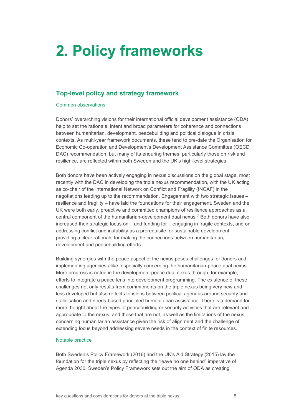# <span id="page-4-0"></span>**2. Policy frameworks**

## <span id="page-4-1"></span>**Top-level policy and strategy framework**

## Common observations

Donors' overarching visions for their international official development assistance (ODA) help to set the rationale, intent and broad parameters for coherence and connections between humanitarian, development, peacebuilding and political dialogue in crisis contexts. As multi-year framework documents, these tend to pre-date the Organisation for Economic Co-operation and Development's Development Assistance Committee (OECD DAC) recommendation, but many of its enduring themes, particularly those on risk and resilience, are reflected within both Sweden and the UK's high-level strategies.

Both donors have been actively engaging in nexus discussions on the global stage, most recently with the DAC in developing the triple nexus recommendation, with the UK acting as co-chair of the International Network on Conflict and Fragility (INCAF) in the negotiations leading up to the recommendation. Engagement with two strategic issues – resilience and fragility – have laid the foundations for their engagement. Sweden and the UK were both early, proactive and committed champions of resilience approaches as a central component of the humanitarian-development dual nexus.[7](#page-21-7) Both donors have also increased their strategic focus on – and funding for – engaging in fragile contexts, and on addressing conflict and instability as a prerequisite for sustainable development, providing a clear rationale for making the connections between humanitarian, development and peacebuilding efforts.

Building synergies with the peace aspect of the nexus poses challenges for donors and implementing agencies alike, especially concerning the humanitarian-peace dual nexus. More progress is noted in the development-peace dual nexus through, for example, efforts to integrate a peace lens into development programming. The existence of these challenges not only results from commitments on the triple nexus being very new and less developed but also reflects tensions between political agendas around security and stabilisation and needs-based principled humanitarian assistance. There is a demand for more thought about the types of peacebuilding or security activities that are relevant and appropriate to the nexus, and those that are not, as well as the limitations of the nexus concerning humanitarian assistance given the risk of alignment and the challenge of extending focus beyond addressing severe needs in the context of finite resources.

## Notable practice

Both Sweden's Policy Framework (2016) and the UK's Aid Strategy (2015) lay the foundation for the triple nexus by reflecting the "leave no one behind" imperative of Agenda 2030. Sweden's Policy Framework sets out the aim of ODA as creating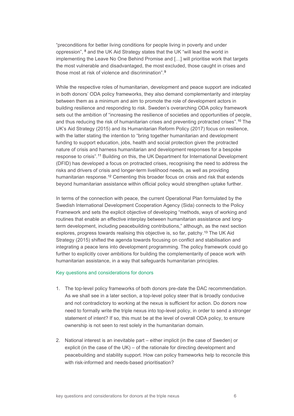"preconditions for better living conditions for people living in poverty and under oppression", [8](#page-21-8) and the UK Aid Strategy states that the UK "will lead the world in implementing the Leave No One Behind Promise and […] will prioritise work that targets the most vulnerable and disadvantaged, the most excluded, those caught in crises and those most at risk of violence and discrimination".[9](#page-21-9)

While the respective roles of humanitarian, development and peace support are indicated in both donors' ODA policy frameworks, they also demand complementarity and interplay between them as a minimum and aim to promote the role of development actors in building resilience and responding to risk. Sweden's overarching ODA policy framework sets out the ambition of "increasing the resilience of societies and opportunities of people, and thus reducing the risk of humanitarian crises and preventing protracted crises".[10](#page-21-10) The UK's Aid Strategy (2015) and its Humanitarian Reform Policy (2017) focus on resilience, with the latter stating the intention to "bring together humanitarian and development funding to support education, jobs, health and social protection given the protracted nature of crisis and harness humanitarian and development responses for a bespoke response to crisis".[11](#page-21-11) Building on this, the UK Department for International Development (DFID) has developed a focus on protracted crises, recognising the need to address the risks and drivers of crisis and longer-term livelihood needs, as well as providing humanitarian response.<sup>[12](#page-21-12)</sup> Cementing this broader focus on crisis and risk that extends beyond humanitarian assistance within official policy would strengthen uptake further.

In terms of the connection with peace, the current Operational Plan formulated by the Swedish International Development Cooperation Agency (Sida) connects to the Policy Framework and sets the explicit objective of developing "methods, ways of working and routines that enable an effective interplay between humanitarian assistance and longterm development, including peacebuilding contributions," although, as the next section explores, progress towards realising this objective is, so far, patchy.[13](#page-21-13) The UK Aid Strategy (2015) shifted the agenda towards focusing on conflict and stabilisation and integrating a peace lens into development programming. The policy framework could go further to explicitly cover ambitions for building the complementarity of peace work with humanitarian assistance, in a way that safeguards humanitarian principles.

## Key questions and considerations for donors

- 1. The top-level policy frameworks of both donors pre-date the DAC recommendation. As we shall see in a later section, a top-level policy steer that is broadly conducive and not contradictory to working at the nexus is sufficient for action. Do donors now need to formally write the triple nexus into top-level policy, in order to send a stronger statement of intent? If so, this must be at the level of overall ODA policy, to ensure ownership is not seen to rest solely in the humanitarian domain.
- 2. National interest is an inevitable part either implicit (in the case of Sweden) or explicit (in the case of the UK) – of the rationale for directing development and peacebuilding and stability support. How can policy frameworks help to reconcile this with risk-informed and needs-based prioritisation?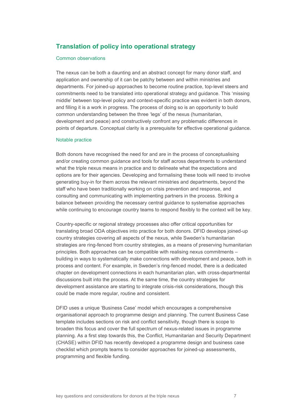## <span id="page-6-0"></span>**Translation of policy into operational strategy**

## Common observations

The nexus can be both a daunting and an abstract concept for many donor staff, and application and ownership of it can be patchy between and within ministries and departments. For joined-up approaches to become routine practice, top-level steers and commitments need to be translated into operational strategy and guidance. This 'missing middle' between top-level policy and context-specific practice was evident in both donors, and filling it is a work in progress. The process of doing so is an opportunity to build common understanding between the three 'legs' of the nexus (humanitarian, development and peace) and constructively confront any problematic differences in points of departure. Conceptual clarity is a prerequisite for effective operational guidance.

#### Notable practice

Both donors have recognised the need for and are in the process of conceptualising and/or creating common guidance and tools for staff across departments to understand what the triple nexus means in practice and to delineate what the expectations and options are for their agencies. Developing and formalising these tools will need to involve generating buy-in for them across the relevant ministries and departments, beyond the staff who have been traditionally working on crisis prevention and response, and consulting and communicating with implementing partners in the process. Striking a balance between providing the necessary central guidance to systematise approaches while continuing to encourage country teams to respond flexibly to the context will be key.

Country-specific or regional strategy processes also offer critical opportunities for translating broad ODA objectives into practice for both donors. DFID develops joined-up country strategies covering all aspects of the nexus, while Sweden's humanitarian strategies are ring-fenced from country strategies, as a means of preserving humanitarian principles. Both approaches can be compatible with realising nexus commitments – building in ways to systematically make connections with development and peace, both in process and content. For example, in Sweden's ring-fenced model, there is a dedicated chapter on development connections in each humanitarian plan, with cross-departmental discussions built into the process. At the same time, the country strategies for development assistance are starting to integrate crisis-risk considerations, though this could be made more regular, routine and consistent.

DFID uses a unique 'Business Case' model which encourages a comprehensive organisational approach to programme design and planning. The current Business Case template includes sections on risk and conflict sensitivity, though there is scope to broaden this focus and cover the full spectrum of nexus-related issues in programme planning. As a first step towards this, the Conflict, Humanitarian and Security Department (CHASE) within DFID has recently developed a programme design and business case checklist which prompts teams to consider approaches for joined-up assessments, programming and flexible funding.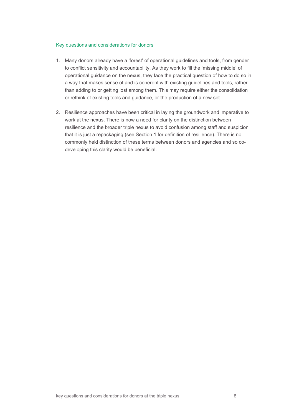## Key questions and considerations for donors

- 1. Many donors already have a 'forest' of operational guidelines and tools, from gender to conflict sensitivity and accountability. As they work to fill the 'missing middle' of operational guidance on the nexus, they face the practical question of how to do so in a way that makes sense of and is coherent with existing guidelines and tools, rather than adding to or getting lost among them. This may require either the consolidation or rethink of existing tools and guidance, or the production of a new set.
- 2. Resilience approaches have been critical in laying the groundwork and imperative to work at the nexus. There is now a need for clarity on the distinction between resilience and the broader triple nexus to avoid confusion among staff and suspicion that it is just a repackaging (see Section 1 for definition of resilience). There is no commonly held distinction of these terms between donors and agencies and so codeveloping this clarity would be beneficial.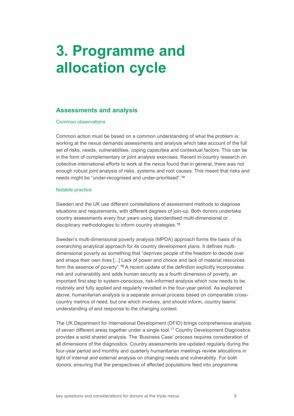# <span id="page-8-0"></span>**3. Programme and allocation cycle**

## <span id="page-8-1"></span>**Assessments and analysis**

### Common observations

Common action must be based on a common understanding of what the problem is: working at the nexus demands assessments and analysis which take account of the full set of risks, needs, vulnerabilities, coping capacities and contextual factors. This can be in the form of complementary or joint analysis exercises. Recent in-country research on collective international efforts to work at the nexus found that in general, there was not enough robust joint analysis of risks, systems and root causes. This meant that risks and needs might be "under-recognised and under-prioritised".[14](#page-21-14)

### Notable practice

Sweden and the UK use different constellations of assessment methods to diagnose situations and requirements, with different degrees of join-up. Both donors undertake country assessments every four years using standardised multi-dimensional or disciplinary methodologies to inform country strategies.[15](#page-21-15)

Sweden's multi-dimensional poverty analysis (MPDA) approach forms the basis of its overarching analytical approach for its country development plans. It defines multidimensional poverty as something that "deprives people of the freedom to decide over and shape their own lives [...] Lack of power and choice and lack of material resources form the essence of poverty".<sup>16</sup> A recent update of the definition explicitly incorporates risk and vulnerability and adds human security as a fourth dimension of poverty, an important first step to system-conscious, risk-informed analysis which now needs to be routinely and fully applied and regularly revisited in the four-year period. As explained above, humanitarian analysis is a separate annual process based on comparable crosscountry metrics of need, but one which involves, and should inform, country teams' understanding of and response to the changing context.

The UK Department for International Development (DFID) brings comprehensive analysis of seven different areas together under a single tool.[17](#page-21-17) Country Development Diagnostics provides a solid shared analysis. The 'Business Case' process requires consideration of all dimensions of the diagnostics. Country assessments are updated regularly during the four-year period and monthly and quarterly humanitarian meetings review allocations in light of internal and external analysis on changing needs and vulnerability. For both donors, ensuring that the perspectives of affected populations feed into programme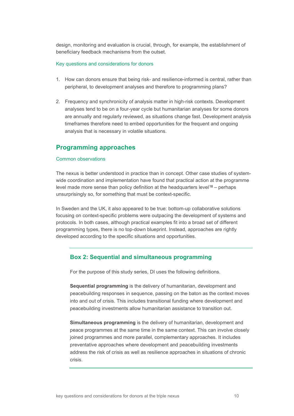design, monitoring and evaluation is crucial, through, for example, the establishment of beneficiary feedback mechanisms from the outset.

### Key questions and considerations for donors

- 1. How can donors ensure that being risk- and resilience-informed is central, rather than peripheral, to development analyses and therefore to programming plans?
- 2. Frequency and synchronicity of analysis matter in high-risk contexts. Development analyses tend to be on a four-year cycle but humanitarian analyses for some donors are annually and regularly reviewed, as situations change fast. Development analysis timeframes therefore need to embed opportunities for the frequent and ongoing analysis that is necessary in volatile situations.

## <span id="page-9-0"></span>**Programming approaches**

### Common observations

The nexus is better understood in practice than in concept. Other case studies of systemwide coordination and implementation have found that practical action at the programme level made more sense than policy definition at the headquarters level [18](#page-21-18) – perhaps unsurprisingly so, for something that must be context-specific.

In Sweden and the UK, it also appeared to be true: bottom-up collaborative solutions focusing on context-specific problems were outpacing the development of systems and protocols. In both cases, although practical examples fit into a broad set of different programming types, there is no top-down blueprint. Instead, approaches are rightly developed according to the specific situations and opportunities.

## **Box 2: Sequential and simultaneous programming**

For the purpose of this study series, DI uses the following definitions.

**Sequential programming** is the delivery of humanitarian, development and peacebuilding responses in sequence, passing on the baton as the context moves into and out of crisis. This includes transitional funding where development and peacebuilding investments allow humanitarian assistance to transition out.

**Simultaneous programming** is the delivery of humanitarian, development and peace programmes at the same time in the same context. This can involve closely joined programmes and more parallel, complementary approaches. It includes preventative approaches where development and peacebuilding investments address the risk of crisis as well as resilience approaches in situations of chronic crisis.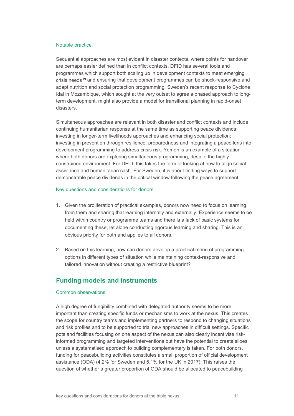### Notable practice

Sequential approaches are most evident in disaster contexts, where points for handover are perhaps easier defined than in conflict contexts. DFID has several tools and programmes which support both scaling up in development contexts to meet emerging crisis needs<sup>[19](#page-21-19)</sup> and ensuring that development programmes can be shock-responsive and adapt nutrition and social protection programming. Sweden's recent response to Cyclone Idai in Mozambique, which sought at the very outset to agree a phased approach to longterm development, might also provide a model for transitional planning in rapid-onset disasters.

Simultaneous approaches are relevant in both disaster and conflict contexts and include continuing humanitarian response at the same time as supporting peace dividends; investing in longer-term livelihoods approaches and enhancing social protection; investing in prevention through resilience, preparedness and integrating a peace lens into development programming to address crisis risk. Yemen is an example of a situation where both donors are exploring simultaneous programming, despite the highly constrained environment. For DFID, this takes the form of looking at how to align social assistance and humanitarian cash. For Sweden, it is about finding ways to support demonstrable peace dividends in the critical window following the peace agreement.

## Key questions and considerations for donors

- 1. Given the proliferation of practical examples, donors now need to focus on learning from them and sharing that learning internally and externally. Experience seems to be held within country or programme teams and there is a lack of basic systems for documenting these, let alone conducting rigorous learning and sharing. This is an obvious priority for both and applies to all donors.
- 2. Based on this learning, how can donors develop a practical menu of programming options in different types of situation while maintaining context-responsive and tailored innovation without creating a restrictive blueprint?

## <span id="page-10-0"></span>**Funding models and instruments**

## Common observations

A high degree of fungibility combined with delegated authority seems to be more important than creating specific funds or mechanisms to work at the nexus. This creates the scope for country teams and implementing partners to respond to changing situations and risk profiles and to be supported to trial new approaches in difficult settings. Specific pots and facilities focusing on one aspect of the nexus can also clearly incentivise riskinformed programming and targeted interventions but have the potential to create siloes unless a systematised approach to building complementary is taken. For both donors, funding for peacebuilding activities constitutes a small proportion of official development assistance (ODA) (4.2% for Sweden and 5.1% for the UK in 2017). This raises the question of whether a greater proportion of ODA should be allocated to peacebuilding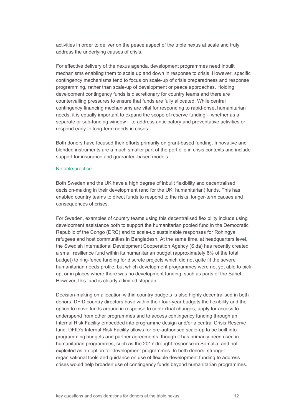activities in order to deliver on the peace aspect of the triple nexus at scale and truly address the underlying causes of crisis.

For effective delivery of the nexus agenda, development programmes need inbuilt mechanisms enabling them to scale up and down in response to crisis. However, specific contingency mechanisms tend to focus on scale-up of crisis preparedness and response programming, rather than scale-up of development or peace approaches. Holding development contingency funds is discretionary for country teams and there are countervailing pressures to ensure that funds are fully allocated. While central contingency financing mechanisms are vital for responding to rapid-onset humanitarian needs, it is equally important to expand the scope of reserve funding – whether as a separate or sub-funding window – to address anticipatory and preventative activities or respond early to long-term needs in crises.

Both donors have focused their efforts primarily on grant-based funding. Innovative and blended instruments are a much smaller part of the portfolio in crisis contexts and include support for insurance and guarantee-based models.

### Notable practice

Both Sweden and the UK have a high degree of inbuilt flexibility and decentralised decision-making in their development (and for the UK, humanitarian) funds. This has enabled country teams to direct funds to respond to the risks, longer-term causes and consequences of crises.

For Sweden, examples of country teams using this decentralised flexibility include using development assistance both to support the humanitarian pooled fund in the Democratic Republic of the Congo (DRC) and to scale-up sustainable responses for Rohingya refugees and host communities in Bangladesh. At the same time, at headquarters level, the Swedish International Development Cooperation Agency (Sida) has recently created a small resilience fund within its humanitarian budget (approximately 6% of the total budget) to ring-fence funding for discrete projects which did not quite fit the severe humanitarian needs profile, but which development programmes were not yet able to pick up, or in places where there was no development funding, such as parts of the Sahel. However, this fund is clearly a limited stopgap.

Decision-making on allocation within country budgets is also highly decentralised in both donors. DFID country directors have within their four-year budgets the flexibility and the option to move funds around in response to contextual changes, apply for access to underspend from other programmes and to access contingency funding through an Internal Risk Facility embedded into programme design and/or a central Crisis Reserve fund. DFID's Internal Risk Facility allows for pre-authorised scale-up to be built into programming budgets and partner agreements, though it has primarily been used in humanitarian programmes, such as the 2017 drought response in Somalia, and not exploited as an option for development programmes. In both donors, stronger organisational tools and guidance on use of flexible development funding to address crises would help broaden use of contingency funds beyond humanitarian programmes.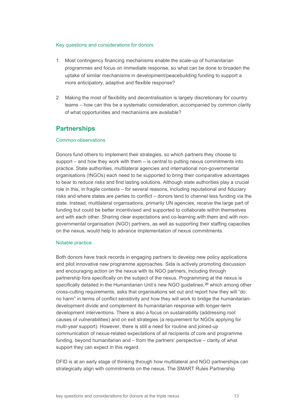### Key questions and considerations for donors

- 1. Most contingency financing mechanisms enable the scale-up of humanitarian programmes and focus on immediate response, so what can be done to broaden the uptake of similar mechanisms in development/peacebuilding funding to support a more anticipatory, adaptive and flexible response?
- 2. Making the most of flexibility and decentralisation is largely discretionary for country teams – how can this be a systematic consideration, accompanied by common clarity of what opportunities and mechanisms are available?

## <span id="page-12-0"></span>**Partnerships**

## Common observations

Donors fund others to implement their strategies, so which partners they choose to support – and how they work with them – is central to putting nexus commitments into practice. State authorities, multilateral agencies and international non-governmental organisations (INGOs) each need to be supported to bring their comparative advantages to bear to reduce risks and find lasting solutions. Although state authorities play a crucial role in this, in fragile contexts – for several reasons, including reputational and fiduciary risks and where states are parties to conflict – donors tend to channel less funding via the state. Instead, multilateral organisations, primarily UN agencies, receive the large part of funding but could be better incentivised and supported to collaborate within themselves and with each other. Sharing clear expectations and co-learning with them and with nongovernmental organisation (NGO) partners, as well as supporting their staffing capacities on the nexus, would help to advance implementation of nexus commitments.

## Notable practice

Both donors have track records in engaging partners to develop new policy applications and pilot innovative new programme approaches. Sida is actively promoting discussion and encouraging action on the nexus with its NGO partners, including through partnership fora specifically on the subject of the nexus. Programming at the nexus is specifically detailed in the Humanitarian Unit's new NGO guidelines,<sup>[20](#page-21-20)</sup> which among other cross-cutting requirements, asks that organisations set out and report how they will "do no harm" in terms of conflict sensitivity and how they will work to bridge the humanitariandevelopment divide and complement its humanitarian response with longer-term development interventions. There is also a focus on sustainability (addressing root causes of vulnerabilities) and on exit strategies (a requirement for NGOs applying for multi-year support). However, there is still a need for routine and joined-up communication of nexus-related expectations of all recipients of core and programme funding, beyond humanitarian and – from the partners' perspective – clarity of what support they can expect in this regard.

DFID is at an early stage of thinking through how multilateral and NGO partnerships can strategically align with commitments on the nexus. The SMART Rules Partnership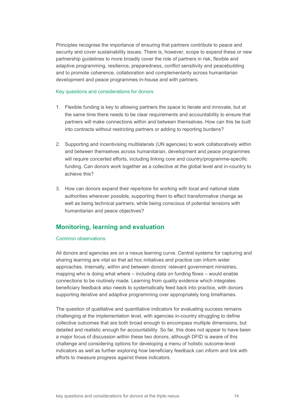Principles recognise the importance of ensuring that partners contribute to peace and security and cover sustainability issues. There is, however, scope to expand these or new partnership guidelines to more broadly cover the role of partners in risk, flexible and adaptive programming, resilience, preparedness, conflict sensitivity and peacebuilding and to promote coherence, collaboration and complementarity across humanitarian development and peace programmes in-house and with partners.

### Key questions and considerations for donors

- 1. Flexible funding is key to allowing partners the space to iterate and innovate, but at the same time there needs to be clear requirements and accountability to ensure that partners will make connections within and between themselves. How can this be built into contracts without restricting partners or adding to reporting burdens?
- 2. Supporting and incentivising multilaterals (UN agencies) to work collaboratively within and between themselves across humanitarian, development and peace programmes will require concerted efforts, including linking core and country/programme-specific funding. Can donors work together as a collective at the global level and in-country to achieve this?
- 3. How can donors expand their repertoire for working with local and national state authorities wherever possible, supporting them to effect transformative change as well as being technical partners, while being conscious of potential tensions with humanitarian and peace objectives?

## <span id="page-13-0"></span>**Monitoring, learning and evaluation**

## Common observations

All donors and agencies are on a nexus learning curve. Central systems for capturing and sharing learning are vital so that ad hoc initiatives and practice can inform wider approaches. Internally, within and between donors' relevant government ministries, mapping who is doing what where – including data on funding flows – would enable connections to be routinely made. Learning from quality evidence which integrates beneficiary feedback also needs to systematically feed back into practice, with donors supporting iterative and adaptive programming over appropriately long timeframes.

The question of qualitative and quantitative indicators for evaluating success remains challenging at the implementation level, with agencies in-country struggling to define collective outcomes that are both broad enough to encompass multiple dimensions, but detailed and realistic enough for accountability. So far, this does not appear to have been a major focus of discussion within these two donors, although DFID is aware of this challenge and considering options for developing a menu of holistic outcome-level indicators as well as further exploring how beneficiary feedback can inform and link with efforts to measure progress against these indicators.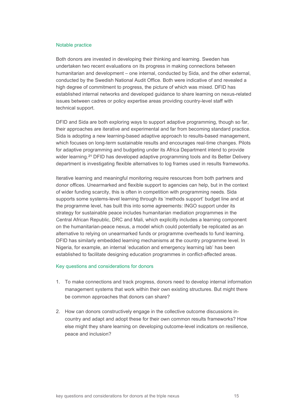#### Notable practice

Both donors are invested in developing their thinking and learning. Sweden has undertaken two recent evaluations on its progress in making connections between humanitarian and development – one internal, conducted by Sida, and the other external, conducted by the Swedish National Audit Office. Both were indicative of and revealed a high degree of commitment to progress, the picture of which was mixed. DFID has established internal networks and developed guidance to share learning on nexus-related issues between cadres or policy expertise areas providing country-level staff with technical support.

DFID and Sida are both exploring ways to support adaptive programming, though so far, their approaches are iterative and experimental and far from becoming standard practice. Sida is adopting a new learning-based adaptive approach to results-based management, which focuses on long-term sustainable results and encourages real-time changes. Pilots for adaptive programming and budgeting under its Africa Department intend to provide wider learning.<sup>[21](#page-21-21)</sup> DFID has developed adaptive programming tools and its Better Delivery department is investigating flexible alternatives to log frames used in results frameworks.

Iterative learning and meaningful monitoring require resources from both partners and donor offices. Unearmarked and flexible support to agencies can help, but in the context of wider funding scarcity, this is often in competition with programming needs. Sida supports some systems-level learning through its 'methods support' budget line and at the programme level, has built this into some agreements: INGO support under its strategy for sustainable peace includes humanitarian mediation programmes in the Central African Republic, DRC and Mali, which explicitly includes a learning component on the humanitarian-peace nexus, a model which could potentially be replicated as an alternative to relying on unearmarked funds or programme overheads to fund learning. DFID has similarly embedded learning mechanisms at the country programme level. In Nigeria, for example, an internal 'education and emergency learning lab' has been established to facilitate designing education programmes in conflict-affected areas.

#### Key questions and considerations for donors

- 1. To make connections and track progress, donors need to develop internal information management systems that work within their own existing structures. But might there be common approaches that donors can share?
- 2. How can donors constructively engage in the collective outcome discussions incountry and adapt and adopt these for their own common results frameworks? How else might they share learning on developing outcome-level indicators on resilience, peace and inclusion?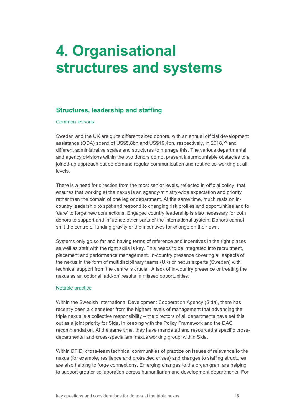# <span id="page-15-0"></span>**4. Organisational structures and systems**

## <span id="page-15-1"></span>**Structures, leadership and staffing**

## Common lessons

Sweden and the UK are quite different sized donors, with an annual official development assistance (ODA) spend of US\$5.8bn and US\$19.4bn, respectively, in 2018,<sup>[22](#page-22-0)</sup> and different administrative scales and structures to manage this. The various departmental and agency divisions within the two donors do not present insurmountable obstacles to a joined-up approach but do demand regular communication and routine co-working at all levels.

There is a need for direction from the most senior levels, reflected in official policy, that ensures that working at the nexus is an agency/ministry-wide expectation and priority rather than the domain of one leg or department. At the same time, much rests on incountry leadership to spot and respond to changing risk profiles and opportunities and to 'dare' to forge new connections. Engaged country leadership is also necessary for both donors to support and influence other parts of the international system. Donors cannot shift the centre of funding gravity or the incentives for change on their own.

Systems only go so far and having terms of reference and incentives in the right places as well as staff with the right skills is key. This needs to be integrated into recruitment, placement and performance management. In-country presence covering all aspects of the nexus in the form of multidisciplinary teams (UK) or nexus experts (Sweden) with technical support from the centre is crucial. A lack of in-country presence or treating the nexus as an optional 'add-on' results in missed opportunities.

## Notable practice

Within the Swedish International Development Cooperation Agency (Sida), there has recently been a clear steer from the highest levels of management that advancing the triple nexus is a collective responsibility – the directors of all departments have set this out as a joint priority for Sida, in keeping with the Policy Framework and the DAC recommendation. At the same time, they have mandated and resourced a specific crossdepartmental and cross-specialism 'nexus working group' within Sida.

Within DFID, cross-team technical communities of practice on issues of relevance to the nexus (for example, resilience and protracted crises) and changes to staffing structures are also helping to forge connections. Emerging changes to the organigram are helping to support greater collaboration across humanitarian and development departments. For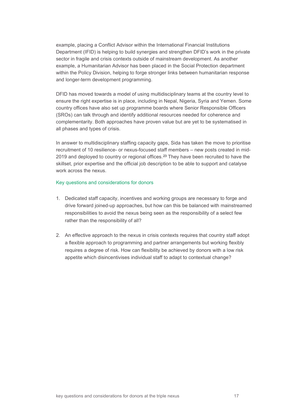example, placing a Conflict Advisor within the International Financial Institutions Department (IFID) is helping to build synergies and strengthen DFID's work in the private sector in fragile and crisis contexts outside of mainstream development. As another example, a Humanitarian Advisor has been placed in the Social Protection department within the Policy Division, helping to forge stronger links between humanitarian response and longer-term development programming.

DFID has moved towards a model of using multidisciplinary teams at the country level to ensure the right expertise is in place, including in Nepal, Nigeria, Syria and Yemen. Some country offices have also set up programme boards where Senior Responsible Officers (SROs) can talk through and identify additional resources needed for coherence and complementarity. Both approaches have proven value but are yet to be systematised in all phases and types of crisis.

In answer to multidisciplinary staffing capacity gaps, Sida has taken the move to prioritise recruitment of 10 resilience- or nexus-focused staff members – new posts created in mid-2019 and deployed to country or regional offices.[23](#page-22-1) They have been recruited to have the skillset, prior expertise and the official job description to be able to support and catalyse work across the nexus.

## Key questions and considerations for donors

- 1. Dedicated staff capacity, incentives and working groups are necessary to forge and drive forward joined-up approaches, but how can this be balanced with mainstreamed responsibilities to avoid the nexus being seen as the responsibility of a select few rather than the responsibility of all?
- 2. An effective approach to the nexus in crisis contexts requires that country staff adopt a flexible approach to programming and partner arrangements but working flexibly requires a degree of risk. How can flexibility be achieved by donors with a low risk appetite which disincentivises individual staff to adapt to contextual change?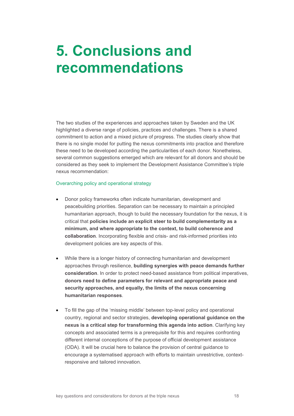# <span id="page-17-0"></span>**5. Conclusions and recommendations**

The two studies of the experiences and approaches taken by Sweden and the UK highlighted a diverse range of policies, practices and challenges. There is a shared commitment to action and a mixed picture of progress. The studies clearly show that there is no single model for putting the nexus commitments into practice and therefore these need to be developed according the particularities of each donor. Nonetheless, several common suggestions emerged which are relevant for all donors and should be considered as they seek to implement the Development Assistance Committee's triple nexus recommendation:

## Overarching policy and operational strategy

- Donor policy frameworks often indicate humanitarian, development and peacebuilding priorities. Separation can be necessary to maintain a principled humanitarian approach, though to build the necessary foundation for the nexus, it is critical that **policies include an explicit steer to build complementarity as a minimum, and where appropriate to the context, to build coherence and collaboration**. Incorporating flexible and crisis- and risk-informed priorities into development policies are key aspects of this.
- While there is a longer history of connecting humanitarian and development approaches through resilience, **building synergies with peace demands further consideration**. In order to protect need-based assistance from political imperatives, **donors need to define parameters for relevant and appropriate peace and security approaches, and equally, the limits of the nexus concerning humanitarian responses**.
- To fill the gap of the 'missing middle' between top-level policy and operational country, regional and sector strategies, **developing operational guidance on the nexus is a critical step for transforming this agenda into action**. Clarifying key concepts and associated terms is a prerequisite for this and requires confronting different internal conceptions of the purpose of official development assistance (ODA). It will be crucial here to balance the provision of central guidance to encourage a systematised approach with efforts to maintain unrestrictive, contextresponsive and tailored innovation.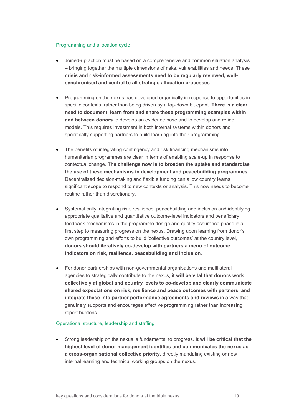## Programming and allocation cycle

- Joined-up action must be based on a comprehensive and common situation analysis – bringing together the multiple dimensions of risks, vulnerabilities and needs. These **crisis and risk-informed assessments need to be regularly reviewed, wellsynchronised and central to all strategic allocation processes**.
- Programming on the nexus has developed organically in response to opportunities in specific contexts, rather than being driven by a top-down blueprint. **There is a clear need to document, learn from and share these programming examples within and between donors** to develop an evidence base and to develop and refine models. This requires investment in both internal systems within donors and specifically supporting partners to build learning into their programming.
- The benefits of integrating contingency and risk financing mechanisms into humanitarian programmes are clear in terms of enabling scale-up in response to contextual change. **The challenge now is to broaden the uptake and standardise the use of these mechanisms in development and peacebuilding programmes**. Decentralised decision-making and flexible funding can allow country teams significant scope to respond to new contexts or analysis. This now needs to become routine rather than discretionary.
- Systematically integrating risk, resilience, peacebuilding and inclusion and identifying appropriate qualitative and quantitative outcome-level indicators and beneficiary feedback mechanisms in the programme design and quality assurance phase is a first step to measuring progress on the nexus. Drawing upon learning from donor's own programming and efforts to build 'collective outcomes' at the country level, **donors should iteratively co-develop with partners a menu of outcome indicators on risk, resilience, peacebuilding and inclusion**.
- For donor partnerships with non-governmental organisations and multilateral agencies to strategically contribute to the nexus, **it will be vital that donors work collectively at global and country levels to co-develop and clearly communicate shared expectations on risk, resilience and peace outcomes with partners, and integrate these into partner performance agreements and reviews** in a way that genuinely supports and encourages effective programming rather than increasing report burdens.

## Operational structure, leadership and staffing

• Strong leadership on the nexus is fundamental to progress. **It will be critical that the highest level of donor management identifies and communicates the nexus as a cross-organisational collective priority**, directly mandating existing or new internal learning and technical working groups on the nexus.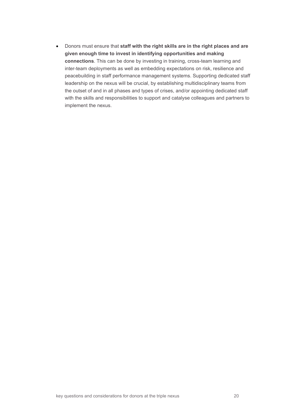• Donors must ensure that **staff with the right skills are in the right places and are given enough time to invest in identifying opportunities and making connections**. This can be done by investing in training, cross-team learning and inter-team deployments as well as embedding expectations on risk, resilience and peacebuilding in staff performance management systems. Supporting dedicated staff leadership on the nexus will be crucial, by establishing multidisciplinary teams from the outset of and in all phases and types of crises, and/or appointing dedicated staff with the skills and responsibilities to support and catalyse colleagues and partners to implement the nexus.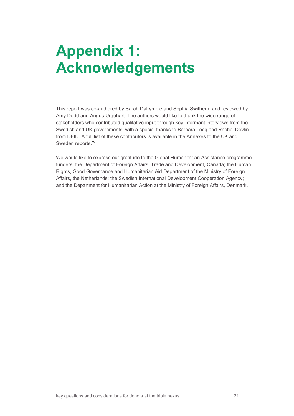# <span id="page-20-0"></span>**Appendix 1: Acknowledgements**

This report was co-authored by Sarah Dalrymple and Sophia Swithern, and reviewed by Amy Dodd and Angus Urquhart. The authors would like to thank the wide range of stakeholders who contributed qualitative input through key informant interviews from the Swedish and UK governments, with a special thanks to Barbara Lecq and Rachel Devlin from DFID. A full list of these contributors is available in the Annexes to the UK and Sweden reports.[24](#page-22-2)

We would like to express our gratitude to the Global Humanitarian Assistance programme funders: the Department of Foreign Affairs, Trade and Development, Canada; the Human Rights, Good Governance and Humanitarian Aid Department of the Ministry of Foreign Affairs, the Netherlands; the Swedish International Development Cooperation Agency; and the Department for Humanitarian Action at the Ministry of Foreign Affairs, Denmark.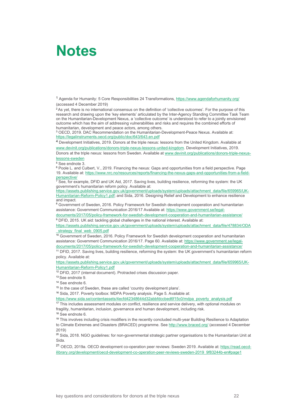## <span id="page-21-0"></span>**Notes**

<span id="page-21-1"></span><sup>1</sup> Agenda for Humanity: 5 Core Responsibilities 24 Transformations[, https://www.agendaforhumanity.org/](https://www.agendaforhumanity.org/) (accessed 4 December 2019)

<span id="page-21-2"></span><sup>2</sup> As yet, there is no international consensus on the definition of 'collective outcomes'. For the purpose of this research and drawing upon the 'key elements' articulated by the Inter-Agency Standing Committee Task Team on the Humanitarian-Development Nexus, a 'collective outcome' is understood to refer to a jointly envisioned outcome which has the aim of addressing vulnerabilities and risks and requires the combined efforts of humanitarian, development and peace actors, among others.

<span id="page-21-3"></span><sup>3</sup> OECD, 2019. DAC Recommendation on the Humanitarian-Development-Peace Nexus. Available at: <https://legalinstruments.oecd.org/public/doc/643/643.en.pdf>

<span id="page-21-4"></span><sup>4</sup> Development Initiatives, 2019. Donors at the triple nexus: lessons from the United Kingdom. Available at [www.devinit.org/publications/donors-triple-nexus-lessons-united-kingdom.](http://www.devinit.org/publications/donors-triple-nexus-lessons-united-kingdom) Development Initiatives, 2019.

Donors at the triple nexus: lessons from Sweden. Available a[t www.devinit.org/publications/donors-triple-nexus](http://www.devinit.org/publications/donors-triple-nexus-lessons-sweden)[lessons-sweden](http://www.devinit.org/publications/donors-triple-nexus-lessons-sweden)

<span id="page-21-5"></span><sup>5</sup> See endnote 3.

<span id="page-21-6"></span><sup>6</sup> Poole L. and Culbert, V., 2019. Financing the nexus: Gaps and opportunities from a field perspective*.* Page 19. Available at: [https://www.nrc.no/resources/reports/financing-the-nexus-gaps-and-opportunities-from-a-field](https://www.nrc.no/resources/reports/financing-the-nexus-gaps-and-opportunities-from-a-field-perspective/)[perspective/](https://www.nrc.no/resources/reports/financing-the-nexus-gaps-and-opportunities-from-a-field-perspective/)

<span id="page-21-7"></span> $^7$  See, for example, DFID and UK Aid, 2017. Saving lives, building resilience, reforming the system: the UK  $\,$ government's humanitarian reform policy. Available at:

[https://assets.publishing.service.gov.uk/government/uploads/system/uploads/attachment\\_data/file/659965/UK-](https://assets.publishing.service.gov.uk/government/uploads/system/uploads/attachment_data/file/659965/UK-Humanitarian-Reform-Policy1.pdf)[Humanitarian-Reform-Policy1.pdf;](https://assets.publishing.service.gov.uk/government/uploads/system/uploads/attachment_data/file/659965/UK-Humanitarian-Reform-Policy1.pdf) and Sida, 2016. Designing Relief and Development to enhance resilience and impact*.*

<span id="page-21-8"></span><sup>8</sup> Government of Sweden, 2016. Policy Framework for Swedish development cooperation and humanitarian assistance: Government Communication 2016/17 Available at[: https://www.government.se/legal-](https://www.government.se/legal-documents/2017/05/policy-framework-for-swedish-development-cooperation-and-humanitarian-assistance/)

[documents/2017/05/policy-framework-for-swedish-development-cooperation-and-humanitarian-assistance/](https://www.government.se/legal-documents/2017/05/policy-framework-for-swedish-development-cooperation-and-humanitarian-assistance/) <sup>9</sup> DFID, 2015. UK aid: tackling global challenges in the national interest. Available at:

<span id="page-21-9"></span>[https://assets.publishing.service.gov.uk/government/uploads/system/uploads/attachment\\_data/file/478834/ODA](https://assets.publishing.service.gov.uk/government/uploads/system/uploads/attachment_data/file/478834/ODA_strategy_final_web_0905.pdf) strategy\_final\_web\_0905.pdf

<span id="page-21-10"></span><sup>10</sup> Government of Sweden, 2016. Policy Framework for Swedish development cooperation and humanitarian assistance: Government Communication 2016/17. Page 60. Available at: [https://www.government.se/legal](https://www.government.se/legal-documents/2017/05/policy-framework-for-swedish-development-cooperation-and-humanitarian-assistance/)[documents/2017/05/policy-framework-for-swedish-development-cooperation-and-humanitarian-assistance/](https://www.government.se/legal-documents/2017/05/policy-framework-for-swedish-development-cooperation-and-humanitarian-assistance/)

<span id="page-21-11"></span><sup>11</sup> DFID, 2017. Saving lives, building resilience, reforming the system: the UK government's humanitarian reform policy. Available at:

[https://assets.publishing.service.gov.uk/government/uploads/system/uploads/attachment\\_data/file/659965/UK-](https://assets.publishing.service.gov.uk/government/uploads/system/uploads/attachment_data/file/659965/UK-Humanitarian-Reform-Policy1.pdf)[Humanitarian-Reform-Policy1.pdf](https://assets.publishing.service.gov.uk/government/uploads/system/uploads/attachment_data/file/659965/UK-Humanitarian-Reform-Policy1.pdf)

<span id="page-21-12"></span><sup>12</sup> DFID, 2017 (internal document). Protracted crises discussion paper.

<span id="page-21-13"></span><sup>13</sup> [See](file://DIPR-DC01/data/company%20data/Projects/GHA/Phase%20IV/Projects/P0343%20GHA%20Crisis%20Financing%202019/1.%20Financing%20Collective%20Outcomes/Project%20content/Donor%20studies/Final%20reports/back%20from%20edit/See) endnote 9.

<span id="page-21-14"></span><sup>14</sup> See endnote 6.

<span id="page-21-15"></span><sup>15</sup> In the case of Sweden, these are called 'country development plans'.<br><sup>16</sup> Sida, 2017. Poverty toolbox: MDPA Poverty analysis. Page 5. Available at:

<span id="page-21-16"></span>[https://www.sida.se/contentassets/4ecfd42348644d32abbfdccbed6f15c0/mdpa\\_poverty\\_analysis.pdf](https://www.sida.se/contentassets/4ecfd42348644d32abbfdccbed6f15c0/mdpa_poverty_analysis.pdf)

<span id="page-21-17"></span><sup>17</sup> This includes assessment modules on conflict, resilience and service delivery, with optional modules on fragility, humanitarian, inclusion, governance and human development, including risk.

<span id="page-21-18"></span><sup>18</sup> See endnote 6.

<span id="page-21-19"></span><sup>19</sup> This involves including crisis modifiers in the recently concluded multi-year Building Resilience to Adaptation to Climate Extremes and Disasters (BRACED) programme. Se[e http://www.braced.org/](http://www.braced.org/) (accessed 4 December 2019)

<span id="page-21-20"></span><sup>20</sup> Sida, 2018. NGO guidelines: for non-governmental strategic partner organisations to the Humanitarian Unit at Sida.

<span id="page-21-21"></span><sup>21</sup> OECD, 2019a. OECD development co-operation peer reviews: Sweden 2019. Available at: [https://read.oecd](https://read.oecd-ilibrary.org/development/oecd-development-co-operation-peer-reviews-sweden-2019_9f83244b-en#page1)[ilibrary.org/development/oecd-development-co-operation-peer-reviews-sweden-2019\\_9f83244b-en#page1](https://read.oecd-ilibrary.org/development/oecd-development-co-operation-peer-reviews-sweden-2019_9f83244b-en#page1)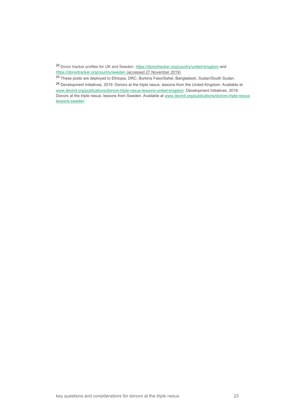<span id="page-22-0"></span><sup>22</sup> Donor tracker profiles for UK and Sweden, <https://donortracker.org/country/united-kingdom> and <https://donortracker.org/country/sweden> (accessed 27 November 2019)

<span id="page-22-1"></span><sup>23</sup> These posts are deployed to Ethiopia, DRC, Burkina Faso/Sahel, Bangladesh, Sudan/South Sudan.

<span id="page-22-2"></span><sup>24</sup> Development Initiatives, 2019. Donors at the triple nexus: lessons from the United Kingdom. Available at [www.devinit.org/publications/donors-triple-nexus-lessons-united-kingdom.](http://www.devinit.org/publications/donors-triple-nexus-lessons-united-kingdom) Development Initiatives, 2019. Donors at the triple nexus: lessons from Sweden. Available a[t www.devinit.org/publications/donors-triple-nexus](http://www.devinit.org/publications/donors-triple-nexus-lessons-sweden)[lessons-sweden](http://www.devinit.org/publications/donors-triple-nexus-lessons-sweden)